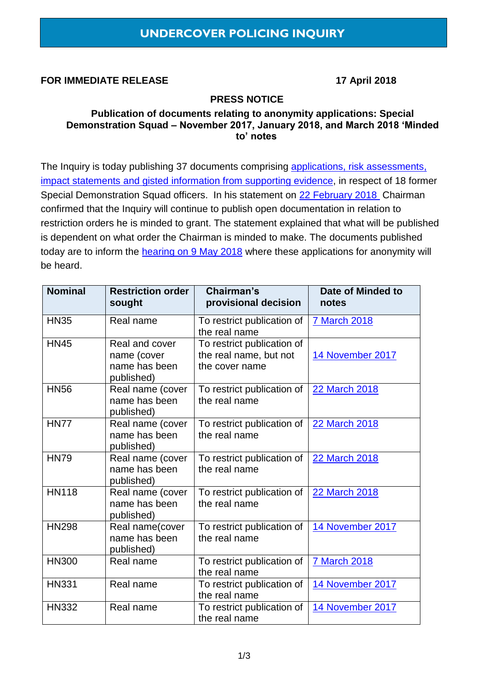### **FOR IMMEDIATE RELEASE 17 April 2018**

### **PRESS NOTICE**

#### **Publication of documents relating to anonymity applications: Special Demonstration Squad – November 2017, January 2018, and March 2018 'Minded to' notes**

The Inquiry is today publishing 37 documents comprising [applications, risk assessments,](https://www.ucpi.org.uk/wp-content/uploads/2018/04/2018-May-Hearing_Document_Index.pdf) impact statements [and gisted information from supporting evidence,](https://www.ucpi.org.uk/wp-content/uploads/2018/04/2018-May-Hearing_Document_Index.pdf) in respect of 18 former Special Demonstration Squad officers. In his statement on [22 February](https://www.ucpi.org.uk/wp-content/uploads/2018/02/20180222-press-notice-separation-process.pdf) 2018 Chairman confirmed that the Inquiry will continue to publish open documentation in relation to restriction orders he is minded to grant. The statement explained that what will be published is dependent on what order the Chairman is minded to make. The documents published today are to inform the [hearing on 9 May 2018](https://www.ucpi.org.uk/hearings/forthcoming-hearings/) where these applications for anonymity will be heard.

| <b>Nominal</b> | <b>Restriction order</b><br>sought                           | Chairman's<br>provisional decision                                     | Date of Minded to<br>notes |
|----------------|--------------------------------------------------------------|------------------------------------------------------------------------|----------------------------|
| <b>HN35</b>    | Real name                                                    | To restrict publication of<br>the real name                            | <b>7 March 2018</b>        |
| <b>HN45</b>    | Real and cover<br>name (cover<br>name has been<br>published) | To restrict publication of<br>the real name, but not<br>the cover name | 14 November 2017           |
| <b>HN56</b>    | Real name (cover<br>name has been<br>published)              | To restrict publication of<br>the real name                            | <b>22 March 2018</b>       |
| <b>HN77</b>    | Real name (cover<br>name has been<br>published)              | To restrict publication of<br>the real name                            | 22 March 2018              |
| <b>HN79</b>    | Real name (cover<br>name has been<br>published)              | To restrict publication of<br>the real name                            | <b>22 March 2018</b>       |
| <b>HN118</b>   | Real name (cover<br>name has been<br>published)              | To restrict publication of<br>the real name                            | <b>22 March 2018</b>       |
| <b>HN298</b>   | Real name(cover<br>name has been<br>published)               | To restrict publication of<br>the real name                            | 14 November 2017           |
| <b>HN300</b>   | Real name                                                    | To restrict publication of<br>the real name                            | <b>7 March 2018</b>        |
| <b>HN331</b>   | Real name                                                    | To restrict publication of<br>the real name                            | 14 November 2017           |
| <b>HN332</b>   | Real name                                                    | To restrict publication of<br>the real name                            | 14 November 2017           |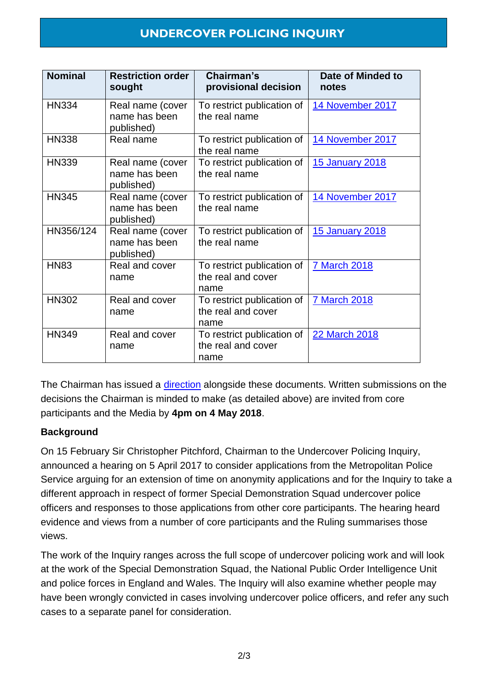## **UNDERCOVER POLICING INQUIRY**

| <b>Nominal</b> | <b>Restriction order</b><br>sought              | Chairman's<br>provisional decision                       | Date of Minded to<br>notes |
|----------------|-------------------------------------------------|----------------------------------------------------------|----------------------------|
| <b>HN334</b>   | Real name (cover<br>name has been<br>published) | To restrict publication of<br>the real name              | 14 November 2017           |
| <b>HN338</b>   | Real name                                       | To restrict publication of<br>the real name              | 14 November 2017           |
| <b>HN339</b>   | Real name (cover<br>name has been<br>published) | To restrict publication of<br>the real name              | 15 January 2018            |
| <b>HN345</b>   | Real name (cover<br>name has been<br>published) | To restrict publication of<br>the real name              | 14 November 2017           |
| HN356/124      | Real name (cover<br>name has been<br>published) | To restrict publication of<br>the real name              | 15 January 2018            |
| <b>HN83</b>    | Real and cover<br>name                          | To restrict publication of<br>the real and cover<br>name | <b>7 March 2018</b>        |
| <b>HN302</b>   | Real and cover<br>name                          | To restrict publication of<br>the real and cover<br>name | <b>7 March 2018</b>        |
| <b>HN349</b>   | Real and cover<br>name                          | To restrict publication of<br>the real and cover<br>name | 22 March 2018              |

The Chairman has issued a [direction](https://www.ucpi.org.uk/wp-content/uploads/2018/04/20180416-Directions.pdf) alongside these documents. Written submissions on the decisions the Chairman is minded to make (as detailed above) are invited from core participants and the Media by **4pm on 4 May 2018**.

### **Background**

On 15 February Sir Christopher Pitchford, Chairman to the Undercover Policing Inquiry, announced a hearing on 5 April 2017 to consider applications from the Metropolitan Police Service arguing for an extension of time on anonymity applications and for the Inquiry to take a different approach in respect of former Special Demonstration Squad undercover police officers and responses to those applications from other core participants. The hearing heard evidence and views from a number of core participants and the Ruling summarises those views.

The work of the Inquiry ranges across the full scope of undercover policing work and will look at the work of the Special Demonstration Squad, the National Public Order Intelligence Unit and police forces in England and Wales. The Inquiry will also examine whether people may have been wrongly convicted in cases involving undercover police officers, and refer any such cases to a separate panel for consideration.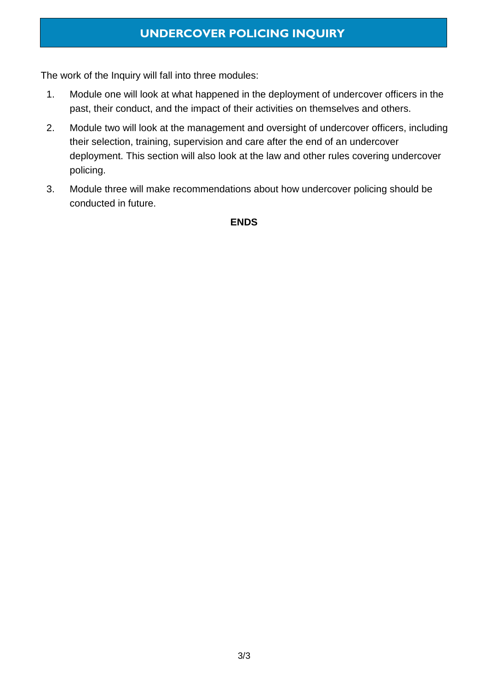# **UNDERCOVER POLICING INQUIRY**

The work of the Inquiry will fall into three modules:

- 1. Module one will look at what happened in the deployment of undercover officers in the past, their conduct, and the impact of their activities on themselves and others.
- 2. Module two will look at the management and oversight of undercover officers, including their selection, training, supervision and care after the end of an undercover deployment. This section will also look at the law and other rules covering undercover policing.
- 3. Module three will make recommendations about how undercover policing should be conducted in future.

#### **ENDS**